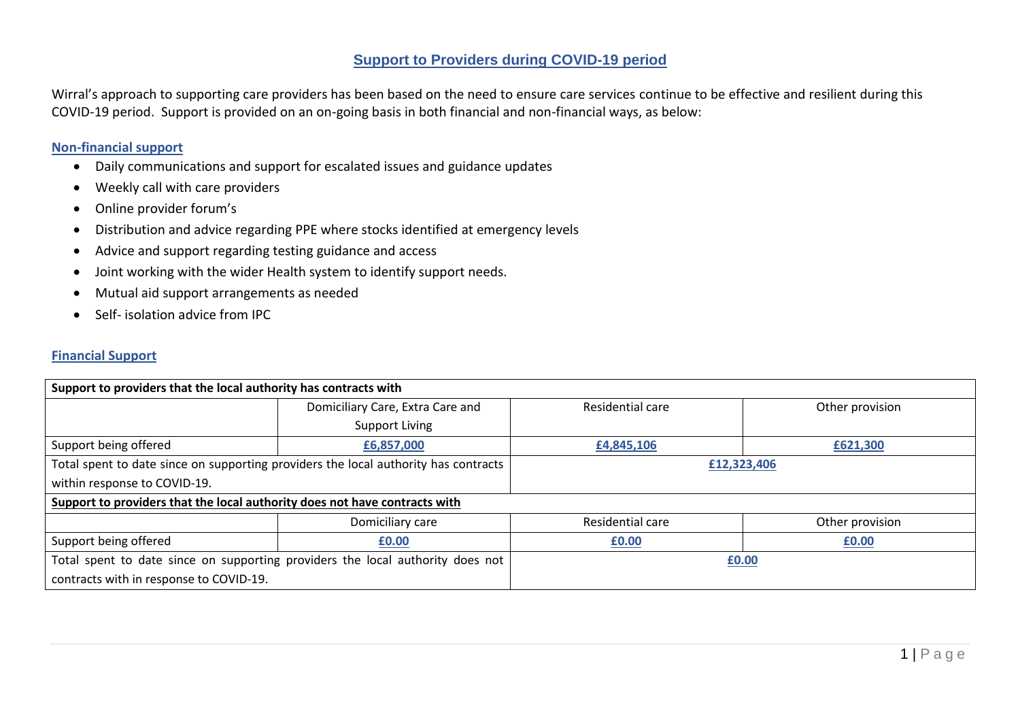### **Support to Providers during COVID-19 period**

Wirral's approach to supporting care providers has been based on the need to ensure care services continue to be effective and resilient during this COVID-19 period. Support is provided on an on-going basis in both financial and non-financial ways, as below:

#### **Non-financial support**

- Daily communications and support for escalated issues and guidance updates
- Weekly call with care providers
- Online provider forum's
- Distribution and advice regarding PPE where stocks identified at emergency levels
- Advice and support regarding testing guidance and access
- Joint working with the wider Health system to identify support needs.
- Mutual aid support arrangements as needed
- Self- isolation advice from IPC

#### **Financial Support**

| Support to providers that the local authority has contracts with                    |                                  |                  |                 |  |  |  |  |  |  |
|-------------------------------------------------------------------------------------|----------------------------------|------------------|-----------------|--|--|--|--|--|--|
|                                                                                     | Domiciliary Care, Extra Care and | Residential care | Other provision |  |  |  |  |  |  |
|                                                                                     | Support Living                   |                  |                 |  |  |  |  |  |  |
| Support being offered                                                               | £6,857,000                       | £4,845,106       | £621,300        |  |  |  |  |  |  |
| Total spent to date since on supporting providers the local authority has contracts |                                  | £12,323,406      |                 |  |  |  |  |  |  |
| within response to COVID-19.                                                        |                                  |                  |                 |  |  |  |  |  |  |
| Support to providers that the local authority does not have contracts with          |                                  |                  |                 |  |  |  |  |  |  |
|                                                                                     | Domiciliary care                 | Residential care | Other provision |  |  |  |  |  |  |
| Support being offered                                                               | £0.00                            | £0.00            | £0.00           |  |  |  |  |  |  |
| Total spent to date since on supporting providers the local authority does not      |                                  | £0.00            |                 |  |  |  |  |  |  |
| contracts with in response to COVID-19.                                             |                                  |                  |                 |  |  |  |  |  |  |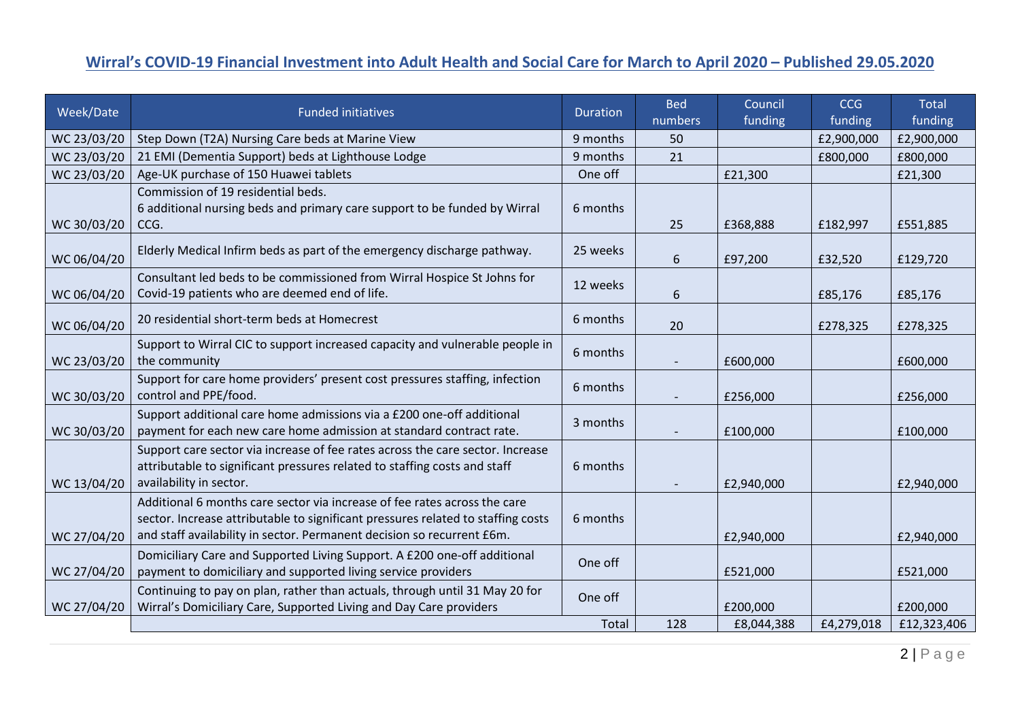## **Wirral's COVID-19 Financial Investment into Adult Health and Social Care for March to April 2020 – Published 29.05.2020**

| Week/Date   | <b>Funded initiatives</b>                                                                                                                                                                                                               |          | <b>Bed</b><br>numbers | Council<br>funding | <b>CCG</b><br>funding | <b>Total</b><br>funding |
|-------------|-----------------------------------------------------------------------------------------------------------------------------------------------------------------------------------------------------------------------------------------|----------|-----------------------|--------------------|-----------------------|-------------------------|
| WC 23/03/20 | Step Down (T2A) Nursing Care beds at Marine View                                                                                                                                                                                        |          | 50                    |                    | £2,900,000            | £2,900,000              |
| WC 23/03/20 | 21 EMI (Dementia Support) beds at Lighthouse Lodge                                                                                                                                                                                      |          | 21                    |                    | £800,000              | £800,000                |
| WC 23/03/20 | Age-UK purchase of 150 Huawei tablets                                                                                                                                                                                                   |          |                       | £21,300            |                       | £21,300                 |
| WC 30/03/20 | Commission of 19 residential beds.<br>6 additional nursing beds and primary care support to be funded by Wirral<br>CCG.                                                                                                                 | 6 months | 25                    | £368,888           | £182,997              | £551,885                |
| WC 06/04/20 | Elderly Medical Infirm beds as part of the emergency discharge pathway.                                                                                                                                                                 | 25 weeks | 6                     | £97,200            | £32,520               | £129,720                |
| WC 06/04/20 | Consultant led beds to be commissioned from Wirral Hospice St Johns for<br>Covid-19 patients who are deemed end of life.                                                                                                                |          | 6                     |                    | £85,176               | £85,176                 |
| WC 06/04/20 | 20 residential short-term beds at Homecrest                                                                                                                                                                                             | 6 months | 20                    |                    | £278,325              | £278,325                |
| WC 23/03/20 | Support to Wirral CIC to support increased capacity and vulnerable people in<br>the community                                                                                                                                           | 6 months |                       | £600,000           |                       | £600,000                |
| WC 30/03/20 | Support for care home providers' present cost pressures staffing, infection<br>control and PPE/food.                                                                                                                                    | 6 months |                       | £256,000           |                       | £256,000                |
| WC 30/03/20 | Support additional care home admissions via a £200 one-off additional<br>payment for each new care home admission at standard contract rate.                                                                                            | 3 months |                       | £100,000           |                       | £100,000                |
| WC 13/04/20 | Support care sector via increase of fee rates across the care sector. Increase<br>attributable to significant pressures related to staffing costs and staff<br>availability in sector.                                                  | 6 months |                       | £2,940,000         |                       | £2,940,000              |
| WC 27/04/20 | Additional 6 months care sector via increase of fee rates across the care<br>sector. Increase attributable to significant pressures related to staffing costs<br>and staff availability in sector. Permanent decision so recurrent £6m. | 6 months |                       | £2,940,000         |                       | £2,940,000              |
| WC 27/04/20 | Domiciliary Care and Supported Living Support. A £200 one-off additional<br>payment to domiciliary and supported living service providers                                                                                               | One off  |                       | £521,000           |                       | £521,000                |
| WC 27/04/20 | Continuing to pay on plan, rather than actuals, through until 31 May 20 for<br>Wirral's Domiciliary Care, Supported Living and Day Care providers                                                                                       | One off  |                       | £200,000           |                       | £200,000                |
|             |                                                                                                                                                                                                                                         | Total    | 128                   | £8,044,388         | £4,279,018            | £12,323,406             |